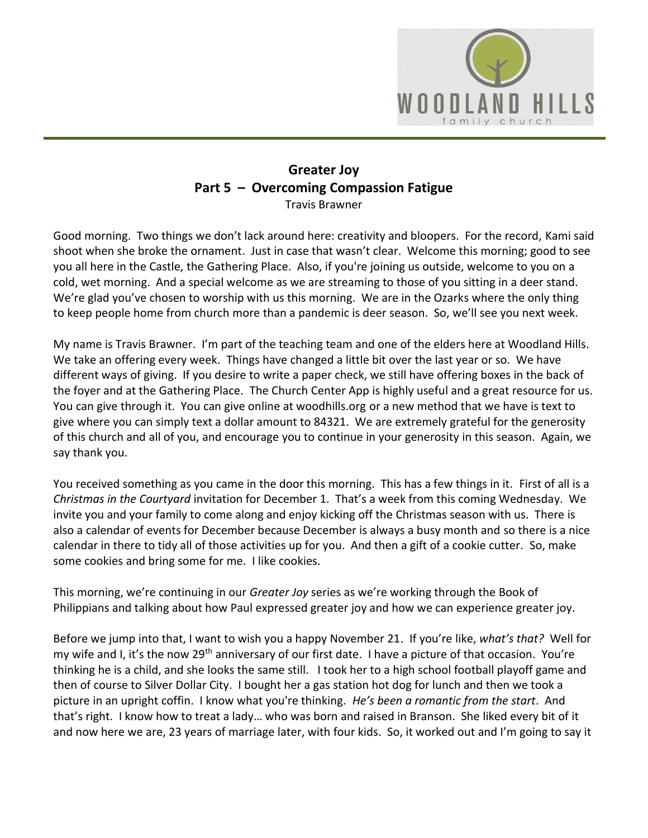

## **Greater Joy Part 5 – Overcoming Compassion Fatigue**  Travis Brawner

Good morning. Two things we don't lack around here: creativity and bloopers. For the record, Kami said shoot when she broke the ornament. Just in case that wasn't clear. Welcome this morning; good to see you all here in the Castle, the Gathering Place. Also, if you're joining us outside, welcome to you on a cold, wet morning. And a special welcome as we are streaming to those of you sitting in a deer stand. We're glad you've chosen to worship with us this morning. We are in the Ozarks where the only thing to keep people home from church more than a pandemic is deer season. So, we'll see you next week.

My name is Travis Brawner. I'm part of the teaching team and one of the elders here at Woodland Hills. We take an offering every week. Things have changed a little bit over the last year or so. We have different ways of giving. If you desire to write a paper check, we still have offering boxes in the back of the foyer and at the Gathering Place. The Church Center App is highly useful and a great resource for us. You can give through it. You can give online at woodhills.org or a new method that we have is text to give where you can simply text a dollar amount to 84321. We are extremely grateful for the generosity of this church and all of you, and encourage you to continue in your generosity in this season. Again, we say thank you.

You received something as you came in the door this morning. This has a few things in it. First of all is a *Christmas in the Courtyard* invitation for December 1. That's a week from this coming Wednesday. We invite you and your family to come along and enjoy kicking off the Christmas season with us. There is also a calendar of events for December because December is always a busy month and so there is a nice calendar in there to tidy all of those activities up for you. And then a gift of a cookie cutter. So, make some cookies and bring some for me. I like cookies.

This morning, we're continuing in our *Greater Joy* series as we're working through the Book of Philippians and talking about how Paul expressed greater joy and how we can experience greater joy.

Before we jump into that, I want to wish you a happy November 21. If you're like, *what's that?* Well for my wife and I, it's the now 29<sup>th</sup> anniversary of our first date. I have a picture of that occasion. You're thinking he is a child, and she looks the same still. I took her to a high school football playoff game and then of course to Silver Dollar City. I bought her a gas station hot dog for lunch and then we took a picture in an upright coffin. I know what you're thinking. *He's been a romantic from the start*. And that's right. I know how to treat a lady… who was born and raised in Branson. She liked every bit of it and now here we are, 23 years of marriage later, with four kids. So, it worked out and I'm going to say it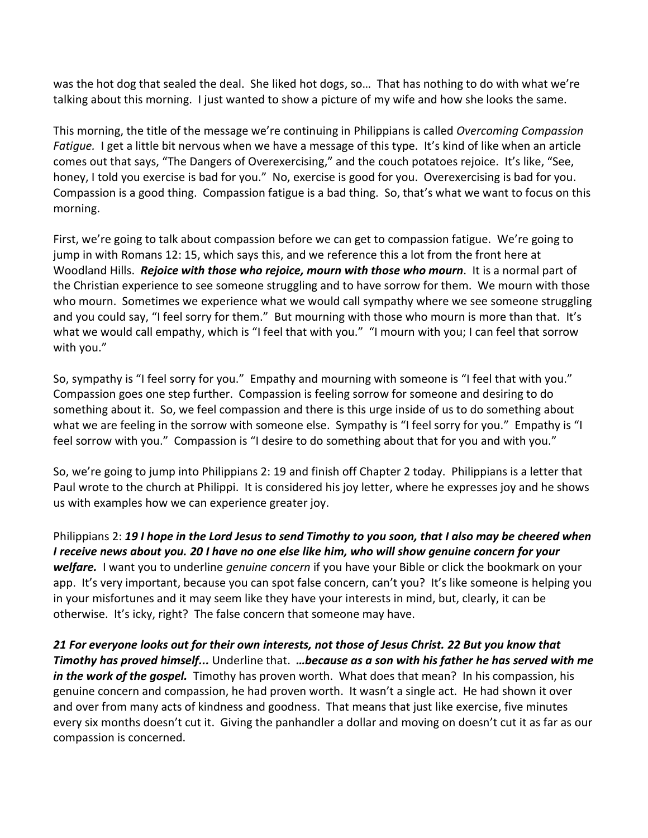was the hot dog that sealed the deal. She liked hot dogs, so… That has nothing to do with what we're talking about this morning. I just wanted to show a picture of my wife and how she looks the same.

This morning, the title of the message we're continuing in Philippians is called *Overcoming Compassion Fatigue.* I get a little bit nervous when we have a message of this type. It's kind of like when an article comes out that says, "The Dangers of Overexercising," and the couch potatoes rejoice. It's like, "See, honey, I told you exercise is bad for you." No, exercise is good for you. Overexercising is bad for you. Compassion is a good thing. Compassion fatigue is a bad thing. So, that's what we want to focus on this morning.

First, we're going to talk about compassion before we can get to compassion fatigue. We're going to jump in with Romans 12: 15, which says this, and we reference this a lot from the front here at Woodland Hills. *Rejoice with those who rejoice, mourn with those who mourn*. It is a normal part of the Christian experience to see someone struggling and to have sorrow for them. We mourn with those who mourn. Sometimes we experience what we would call sympathy where we see someone struggling and you could say, "I feel sorry for them." But mourning with those who mourn is more than that. It's what we would call empathy, which is "I feel that with you." "I mourn with you; I can feel that sorrow with you."

So, sympathy is "I feel sorry for you." Empathy and mourning with someone is "I feel that with you." Compassion goes one step further. Compassion is feeling sorrow for someone and desiring to do something about it. So, we feel compassion and there is this urge inside of us to do something about what we are feeling in the sorrow with someone else. Sympathy is "I feel sorry for you." Empathy is "I feel sorrow with you." Compassion is "I desire to do something about that for you and with you."

So, we're going to jump into Philippians 2: 19 and finish off Chapter 2 today. Philippians is a letter that Paul wrote to the church at Philippi. It is considered his joy letter, where he expresses joy and he shows us with examples how we can experience greater joy.

Philippians 2: *19 I hope in the Lord Jesus to send Timothy to you soon, that I also may be cheered when I receive news about you. 20 I have no one else like him, who will show genuine concern for your welfare.* I want you to underline *genuine concern* if you have your Bible or click the bookmark on your app. It's very important, because you can spot false concern, can't you? It's like someone is helping you in your misfortunes and it may seem like they have your interests in mind, but, clearly, it can be otherwise. It's icky, right? The false concern that someone may have.

*21 For everyone looks out for their own interests, not those of Jesus Christ. 22 But you know that Timothy has proved himself...* Underline that. *…because as a son with his father he has served with me*  in the work of the gospel. Timothy has proven worth. What does that mean? In his compassion, his genuine concern and compassion, he had proven worth. It wasn't a single act. He had shown it over and over from many acts of kindness and goodness. That means that just like exercise, five minutes every six months doesn't cut it. Giving the panhandler a dollar and moving on doesn't cut it as far as our compassion is concerned.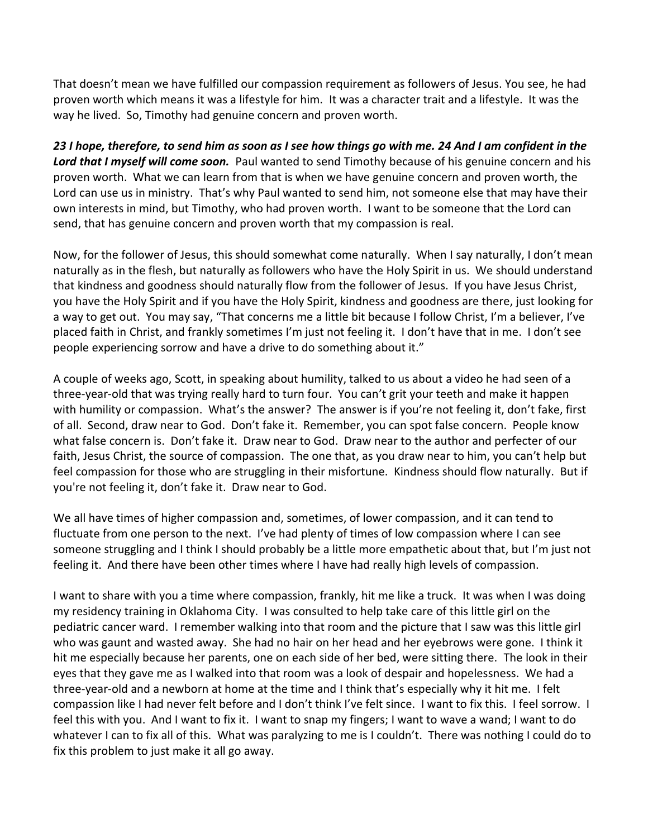That doesn't mean we have fulfilled our compassion requirement as followers of Jesus. You see, he had proven worth which means it was a lifestyle for him. It was a character trait and a lifestyle. It was the way he lived. So, Timothy had genuine concern and proven worth.

*23 I hope, therefore, to send him as soon as I see how things go with me. 24 And I am confident in the*  Lord that I myself will come soon. Paul wanted to send Timothy because of his genuine concern and his proven worth. What we can learn from that is when we have genuine concern and proven worth, the Lord can use us in ministry. That's why Paul wanted to send him, not someone else that may have their own interests in mind, but Timothy, who had proven worth. I want to be someone that the Lord can send, that has genuine concern and proven worth that my compassion is real.

Now, for the follower of Jesus, this should somewhat come naturally. When I say naturally, I don't mean naturally as in the flesh, but naturally as followers who have the Holy Spirit in us. We should understand that kindness and goodness should naturally flow from the follower of Jesus. If you have Jesus Christ, you have the Holy Spirit and if you have the Holy Spirit, kindness and goodness are there, just looking for a way to get out. You may say, "That concerns me a little bit because I follow Christ, I'm a believer, I've placed faith in Christ, and frankly sometimes I'm just not feeling it. I don't have that in me. I don't see people experiencing sorrow and have a drive to do something about it."

A couple of weeks ago, Scott, in speaking about humility, talked to us about a video he had seen of a three-year-old that was trying really hard to turn four. You can't grit your teeth and make it happen with humility or compassion. What's the answer? The answer is if you're not feeling it, don't fake, first of all. Second, draw near to God. Don't fake it. Remember, you can spot false concern. People know what false concern is. Don't fake it. Draw near to God. Draw near to the author and perfecter of our faith, Jesus Christ, the source of compassion. The one that, as you draw near to him, you can't help but feel compassion for those who are struggling in their misfortune. Kindness should flow naturally. But if you're not feeling it, don't fake it. Draw near to God.

We all have times of higher compassion and, sometimes, of lower compassion, and it can tend to fluctuate from one person to the next. I've had plenty of times of low compassion where I can see someone struggling and I think I should probably be a little more empathetic about that, but I'm just not feeling it. And there have been other times where I have had really high levels of compassion.

I want to share with you a time where compassion, frankly, hit me like a truck. It was when I was doing my residency training in Oklahoma City. I was consulted to help take care of this little girl on the pediatric cancer ward. I remember walking into that room and the picture that I saw was this little girl who was gaunt and wasted away. She had no hair on her head and her eyebrows were gone. I think it hit me especially because her parents, one on each side of her bed, were sitting there. The look in their eyes that they gave me as I walked into that room was a look of despair and hopelessness. We had a three-year-old and a newborn at home at the time and I think that's especially why it hit me. I felt compassion like I had never felt before and I don't think I've felt since. I want to fix this. I feel sorrow. I feel this with you. And I want to fix it. I want to snap my fingers; I want to wave a wand; I want to do whatever I can to fix all of this. What was paralyzing to me is I couldn't. There was nothing I could do to fix this problem to just make it all go away.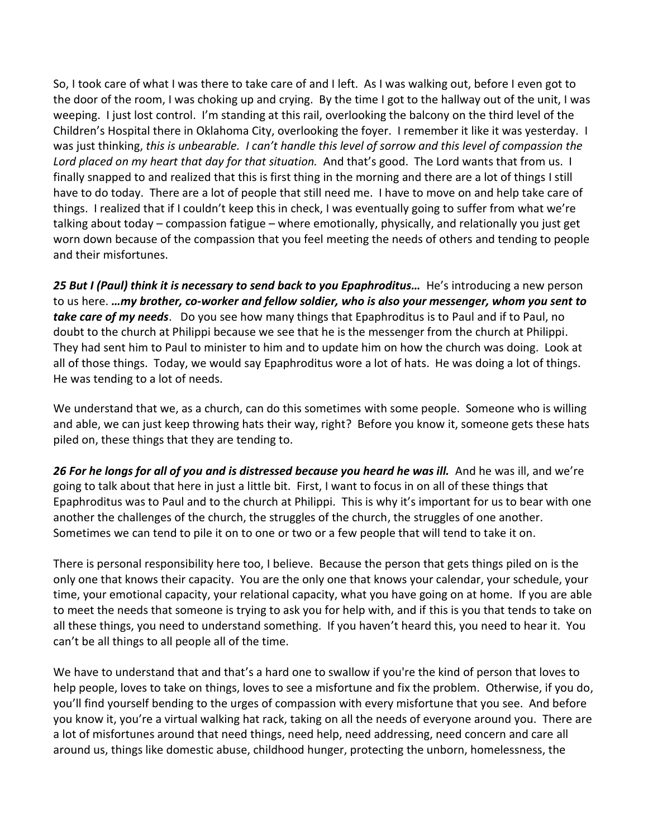So, I took care of what I was there to take care of and I left. As I was walking out, before I even got to the door of the room, I was choking up and crying. By the time I got to the hallway out of the unit, I was weeping. I just lost control. I'm standing at this rail, overlooking the balcony on the third level of the Children's Hospital there in Oklahoma City, overlooking the foyer. I remember it like it was yesterday. I was just thinking, *this is unbearable. I can't handle this level of sorrow and this level of compassion the Lord placed on my heart that day for that situation.* And that's good. The Lord wants that from us. I finally snapped to and realized that this is first thing in the morning and there are a lot of things I still have to do today. There are a lot of people that still need me. I have to move on and help take care of things. I realized that if I couldn't keep this in check, I was eventually going to suffer from what we're talking about today – compassion fatigue – where emotionally, physically, and relationally you just get worn down because of the compassion that you feel meeting the needs of others and tending to people and their misfortunes.

*25 But I (Paul) think it is necessary to send back to you Epaphroditus…* He's introducing a new person to us here. *…my brother, co-worker and fellow soldier, who is also your messenger, whom you sent to take care of my needs*. Do you see how many things that Epaphroditus is to Paul and if to Paul, no doubt to the church at Philippi because we see that he is the messenger from the church at Philippi. They had sent him to Paul to minister to him and to update him on how the church was doing. Look at all of those things. Today, we would say Epaphroditus wore a lot of hats. He was doing a lot of things. He was tending to a lot of needs.

We understand that we, as a church, can do this sometimes with some people. Someone who is willing and able, we can just keep throwing hats their way, right? Before you know it, someone gets these hats piled on, these things that they are tending to.

*26 For he longs for all of you and is distressed because you heard he was ill.* And he was ill, and we're going to talk about that here in just a little bit. First, I want to focus in on all of these things that Epaphroditus was to Paul and to the church at Philippi. This is why it's important for us to bear with one another the challenges of the church, the struggles of the church, the struggles of one another. Sometimes we can tend to pile it on to one or two or a few people that will tend to take it on.

There is personal responsibility here too, I believe. Because the person that gets things piled on is the only one that knows their capacity. You are the only one that knows your calendar, your schedule, your time, your emotional capacity, your relational capacity, what you have going on at home. If you are able to meet the needs that someone is trying to ask you for help with, and if this is you that tends to take on all these things, you need to understand something. If you haven't heard this, you need to hear it. You can't be all things to all people all of the time.

We have to understand that and that's a hard one to swallow if you're the kind of person that loves to help people, loves to take on things, loves to see a misfortune and fix the problem. Otherwise, if you do, you'll find yourself bending to the urges of compassion with every misfortune that you see. And before you know it, you're a virtual walking hat rack, taking on all the needs of everyone around you. There are a lot of misfortunes around that need things, need help, need addressing, need concern and care all around us, things like domestic abuse, childhood hunger, protecting the unborn, homelessness, the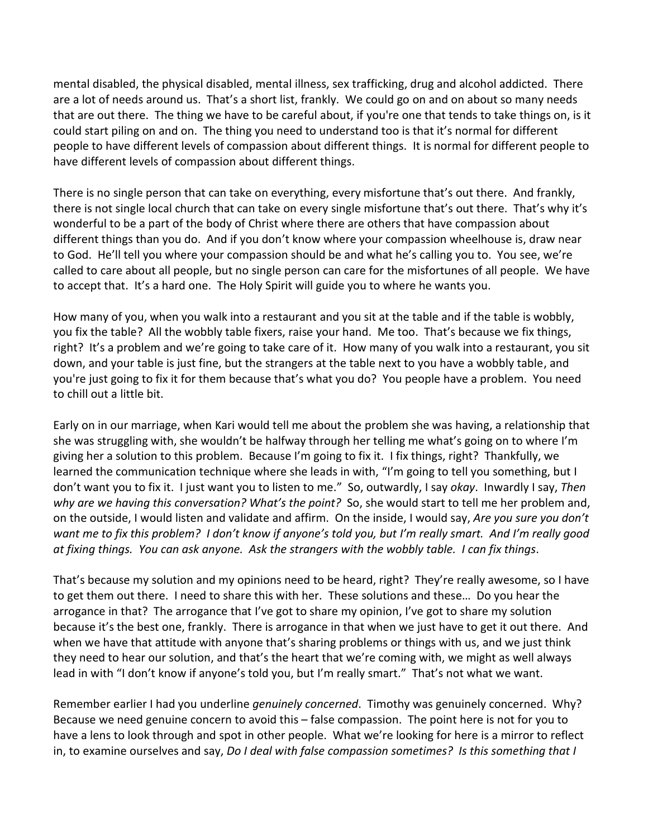mental disabled, the physical disabled, mental illness, sex trafficking, drug and alcohol addicted. There are a lot of needs around us. That's a short list, frankly. We could go on and on about so many needs that are out there. The thing we have to be careful about, if you're one that tends to take things on, is it could start piling on and on. The thing you need to understand too is that it's normal for different people to have different levels of compassion about different things. It is normal for different people to have different levels of compassion about different things.

There is no single person that can take on everything, every misfortune that's out there. And frankly, there is not single local church that can take on every single misfortune that's out there. That's why it's wonderful to be a part of the body of Christ where there are others that have compassion about different things than you do. And if you don't know where your compassion wheelhouse is, draw near to God. He'll tell you where your compassion should be and what he's calling you to. You see, we're called to care about all people, but no single person can care for the misfortunes of all people. We have to accept that. It's a hard one. The Holy Spirit will guide you to where he wants you.

How many of you, when you walk into a restaurant and you sit at the table and if the table is wobbly, you fix the table? All the wobbly table fixers, raise your hand. Me too. That's because we fix things, right? It's a problem and we're going to take care of it. How many of you walk into a restaurant, you sit down, and your table is just fine, but the strangers at the table next to you have a wobbly table, and you're just going to fix it for them because that's what you do? You people have a problem. You need to chill out a little bit.

Early on in our marriage, when Kari would tell me about the problem she was having, a relationship that she was struggling with, she wouldn't be halfway through her telling me what's going on to where I'm giving her a solution to this problem. Because I'm going to fix it. I fix things, right? Thankfully, we learned the communication technique where she leads in with, "I'm going to tell you something, but I don't want you to fix it. I just want you to listen to me." So, outwardly, I say *okay*. Inwardly I say, *Then why are we having this conversation? What's the point?* So, she would start to tell me her problem and, on the outside, I would listen and validate and affirm. On the inside, I would say, *Are you sure you don't want me to fix this problem? I don't know if anyone's told you, but I'm really smart. And I'm really good at fixing things. You can ask anyone. Ask the strangers with the wobbly table. I can fix things*.

That's because my solution and my opinions need to be heard, right? They're really awesome, so I have to get them out there. I need to share this with her. These solutions and these… Do you hear the arrogance in that? The arrogance that I've got to share my opinion, I've got to share my solution because it's the best one, frankly. There is arrogance in that when we just have to get it out there. And when we have that attitude with anyone that's sharing problems or things with us, and we just think they need to hear our solution, and that's the heart that we're coming with, we might as well always lead in with "I don't know if anyone's told you, but I'm really smart." That's not what we want.

Remember earlier I had you underline *genuinely concerned*. Timothy was genuinely concerned. Why? Because we need genuine concern to avoid this – false compassion. The point here is not for you to have a lens to look through and spot in other people. What we're looking for here is a mirror to reflect in, to examine ourselves and say, *Do I deal with false compassion sometimes? Is this something that I*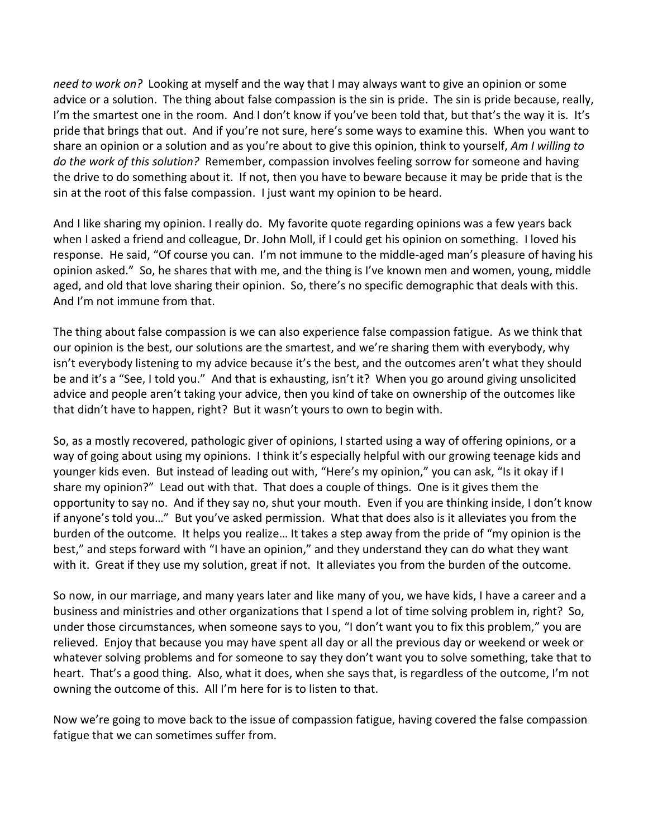*need to work on?* Looking at myself and the way that I may always want to give an opinion or some advice or a solution. The thing about false compassion is the sin is pride. The sin is pride because, really, I'm the smartest one in the room. And I don't know if you've been told that, but that's the way it is. It's pride that brings that out. And if you're not sure, here's some ways to examine this. When you want to share an opinion or a solution and as you're about to give this opinion, think to yourself, *Am I willing to do the work of this solution?* Remember, compassion involves feeling sorrow for someone and having the drive to do something about it. If not, then you have to beware because it may be pride that is the sin at the root of this false compassion. I just want my opinion to be heard.

And I like sharing my opinion. I really do. My favorite quote regarding opinions was a few years back when I asked a friend and colleague, Dr. John Moll, if I could get his opinion on something. I loved his response. He said, "Of course you can. I'm not immune to the middle-aged man's pleasure of having his opinion asked." So, he shares that with me, and the thing is I've known men and women, young, middle aged, and old that love sharing their opinion. So, there's no specific demographic that deals with this. And I'm not immune from that.

The thing about false compassion is we can also experience false compassion fatigue. As we think that our opinion is the best, our solutions are the smartest, and we're sharing them with everybody, why isn't everybody listening to my advice because it's the best, and the outcomes aren't what they should be and it's a "See, I told you." And that is exhausting, isn't it? When you go around giving unsolicited advice and people aren't taking your advice, then you kind of take on ownership of the outcomes like that didn't have to happen, right? But it wasn't yours to own to begin with.

So, as a mostly recovered, pathologic giver of opinions, I started using a way of offering opinions, or a way of going about using my opinions. I think it's especially helpful with our growing teenage kids and younger kids even. But instead of leading out with, "Here's my opinion," you can ask, "Is it okay if I share my opinion?" Lead out with that. That does a couple of things. One is it gives them the opportunity to say no. And if they say no, shut your mouth. Even if you are thinking inside, I don't know if anyone's told you…" But you've asked permission. What that does also is it alleviates you from the burden of the outcome. It helps you realize… It takes a step away from the pride of "my opinion is the best," and steps forward with "I have an opinion," and they understand they can do what they want with it. Great if they use my solution, great if not. It alleviates you from the burden of the outcome.

So now, in our marriage, and many years later and like many of you, we have kids, I have a career and a business and ministries and other organizations that I spend a lot of time solving problem in, right? So, under those circumstances, when someone says to you, "I don't want you to fix this problem," you are relieved. Enjoy that because you may have spent all day or all the previous day or weekend or week or whatever solving problems and for someone to say they don't want you to solve something, take that to heart. That's a good thing. Also, what it does, when she says that, is regardless of the outcome, I'm not owning the outcome of this. All I'm here for is to listen to that.

Now we're going to move back to the issue of compassion fatigue, having covered the false compassion fatigue that we can sometimes suffer from.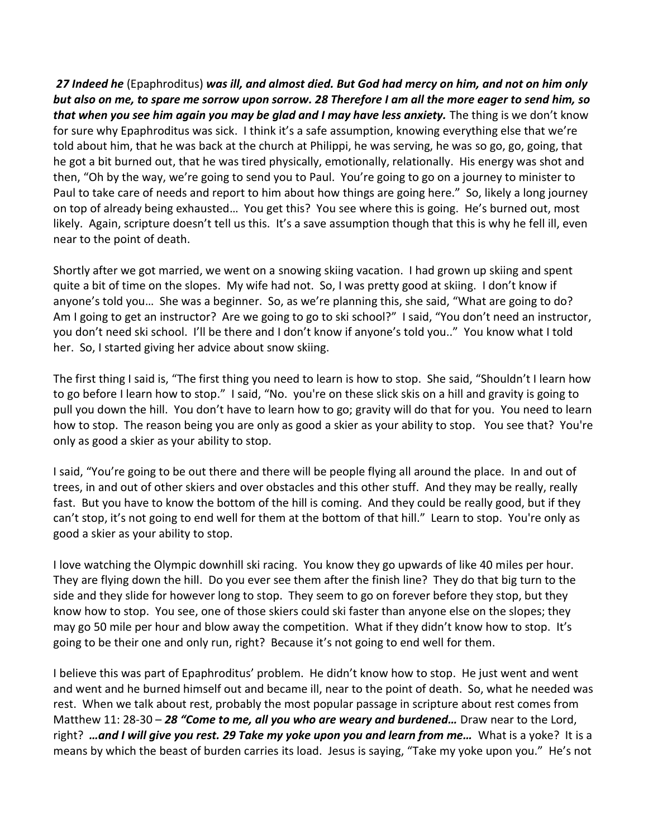*27 Indeed he* (Epaphroditus) *was ill, and almost died. But God had mercy on him, and not on him only but also on me, to spare me sorrow upon sorrow. 28 Therefore I am all the more eager to send him, so that when you see him again you may be glad and I may have less anxiety.* The thing is we don't know for sure why Epaphroditus was sick. I think it's a safe assumption, knowing everything else that we're told about him, that he was back at the church at Philippi, he was serving, he was so go, go, going, that he got a bit burned out, that he was tired physically, emotionally, relationally. His energy was shot and then, "Oh by the way, we're going to send you to Paul. You're going to go on a journey to minister to Paul to take care of needs and report to him about how things are going here." So, likely a long journey on top of already being exhausted… You get this? You see where this is going. He's burned out, most likely. Again, scripture doesn't tell us this. It's a save assumption though that this is why he fell ill, even near to the point of death.

Shortly after we got married, we went on a snowing skiing vacation. I had grown up skiing and spent quite a bit of time on the slopes. My wife had not. So, I was pretty good at skiing. I don't know if anyone's told you… She was a beginner. So, as we're planning this, she said, "What are going to do? Am I going to get an instructor? Are we going to go to ski school?" I said, "You don't need an instructor, you don't need ski school. I'll be there and I don't know if anyone's told you.." You know what I told her. So, I started giving her advice about snow skiing.

The first thing I said is, "The first thing you need to learn is how to stop. She said, "Shouldn't I learn how to go before I learn how to stop." I said, "No. you're on these slick skis on a hill and gravity is going to pull you down the hill. You don't have to learn how to go; gravity will do that for you. You need to learn how to stop. The reason being you are only as good a skier as your ability to stop. You see that? You're only as good a skier as your ability to stop.

I said, "You're going to be out there and there will be people flying all around the place. In and out of trees, in and out of other skiers and over obstacles and this other stuff. And they may be really, really fast. But you have to know the bottom of the hill is coming. And they could be really good, but if they can't stop, it's not going to end well for them at the bottom of that hill." Learn to stop. You're only as good a skier as your ability to stop.

I love watching the Olympic downhill ski racing. You know they go upwards of like 40 miles per hour. They are flying down the hill. Do you ever see them after the finish line? They do that big turn to the side and they slide for however long to stop. They seem to go on forever before they stop, but they know how to stop. You see, one of those skiers could ski faster than anyone else on the slopes; they may go 50 mile per hour and blow away the competition. What if they didn't know how to stop. It's going to be their one and only run, right? Because it's not going to end well for them.

I believe this was part of Epaphroditus' problem. He didn't know how to stop. He just went and went and went and he burned himself out and became ill, near to the point of death. So, what he needed was rest. When we talk about rest, probably the most popular passage in scripture about rest comes from Matthew 11: 28-30 – *28 "Come to me, all you who are weary and burdened…* Draw near to the Lord, right? *…and I will give you rest. 29 Take my yoke upon you and learn from me…* What is a yoke? It is a means by which the beast of burden carries its load. Jesus is saying, "Take my yoke upon you." He's not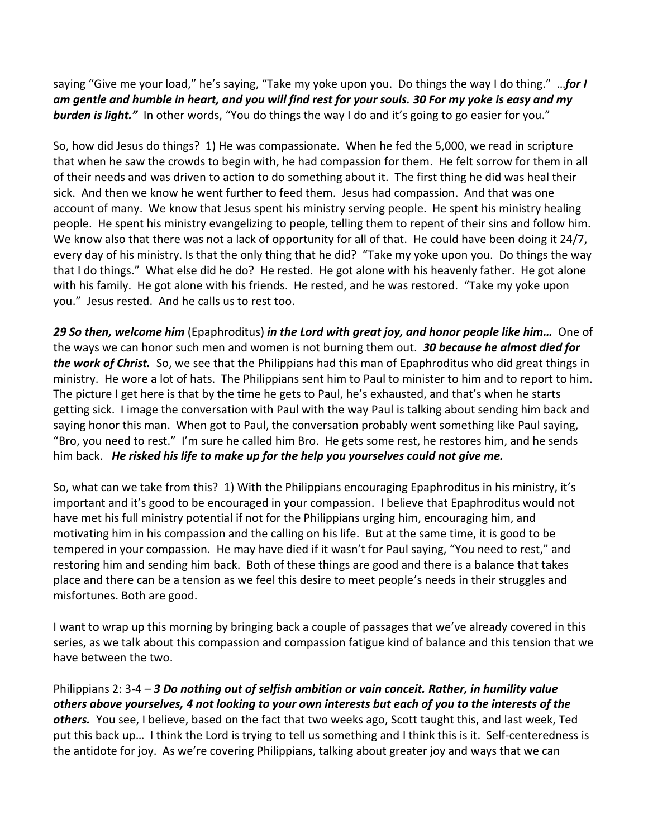saying "Give me your load," he's saying, "Take my yoke upon you. Do things the way I do thing." …*for I am gentle and humble in heart, and you will find rest for your souls. 30 For my yoke is easy and my*  **burden is light."** In other words, "You do things the way I do and it's going to go easier for you."

So, how did Jesus do things? 1) He was compassionate. When he fed the 5,000, we read in scripture that when he saw the crowds to begin with, he had compassion for them. He felt sorrow for them in all of their needs and was driven to action to do something about it. The first thing he did was heal their sick. And then we know he went further to feed them. Jesus had compassion. And that was one account of many. We know that Jesus spent his ministry serving people. He spent his ministry healing people. He spent his ministry evangelizing to people, telling them to repent of their sins and follow him. We know also that there was not a lack of opportunity for all of that. He could have been doing it 24/7, every day of his ministry. Is that the only thing that he did? "Take my yoke upon you. Do things the way that I do things." What else did he do? He rested. He got alone with his heavenly father. He got alone with his family. He got alone with his friends. He rested, and he was restored. "Take my yoke upon you." Jesus rested. And he calls us to rest too.

*29 So then, welcome him* (Epaphroditus) *in the Lord with great joy, and honor people like him…* One of the ways we can honor such men and women is not burning them out. *30 because he almost died for the work of Christ.* So, we see that the Philippians had this man of Epaphroditus who did great things in ministry. He wore a lot of hats. The Philippians sent him to Paul to minister to him and to report to him. The picture I get here is that by the time he gets to Paul, he's exhausted, and that's when he starts getting sick. I image the conversation with Paul with the way Paul is talking about sending him back and saying honor this man. When got to Paul, the conversation probably went something like Paul saying, "Bro, you need to rest." I'm sure he called him Bro. He gets some rest, he restores him, and he sends him back. *He risked his life to make up for the help you yourselves could not give me.*

So, what can we take from this? 1) With the Philippians encouraging Epaphroditus in his ministry, it's important and it's good to be encouraged in your compassion. I believe that Epaphroditus would not have met his full ministry potential if not for the Philippians urging him, encouraging him, and motivating him in his compassion and the calling on his life. But at the same time, it is good to be tempered in your compassion. He may have died if it wasn't for Paul saying, "You need to rest," and restoring him and sending him back. Both of these things are good and there is a balance that takes place and there can be a tension as we feel this desire to meet people's needs in their struggles and misfortunes. Both are good.

I want to wrap up this morning by bringing back a couple of passages that we've already covered in this series, as we talk about this compassion and compassion fatigue kind of balance and this tension that we have between the two.

Philippians 2: 3-4 – *3 Do nothing out of selfish ambition or vain conceit. Rather, in humility value others above yourselves, 4 not looking to your own interests but each of you to the interests of the others.* You see, I believe, based on the fact that two weeks ago, Scott taught this, and last week, Ted put this back up… I think the Lord is trying to tell us something and I think this is it. Self-centeredness is the antidote for joy. As we're covering Philippians, talking about greater joy and ways that we can